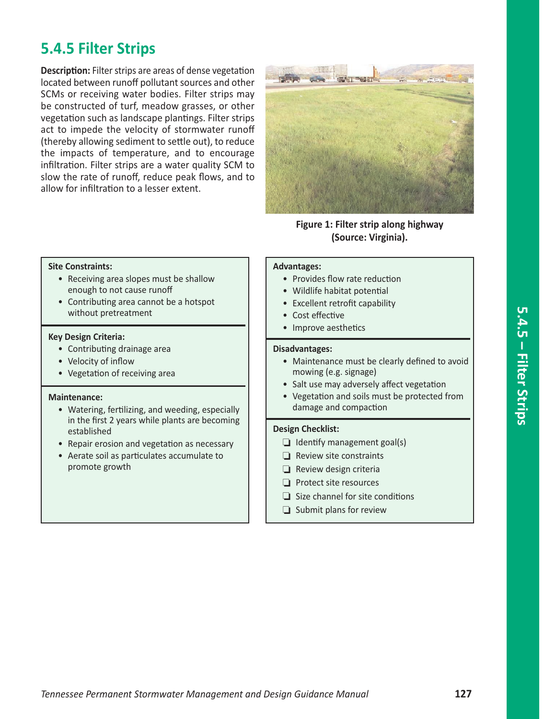# **5.4.5 Filter Strips**

**Description:** Filter strips are areas of dense vegetation located between runoff pollutant sources and other SCMs or receiving water bodies. Filter strips may be constructed of turf, meadow grasses, or other vegetation such as landscape plantings. Filter strips act to impede the velocity of stormwater runoff (thereby allowing sediment to settle out), to reduce the impacts of temperature, and to encourage infiltration. Filter strips are a water quality SCM to slow the rate of runoff, reduce peak flows, and to allow for infiltration to a lesser extent.



**Figure 1: Filter strip along highway (Source: Virginia).**

#### **Advantages:**

- Provides flow rate reduction
- Wildlife habitat potential
- Excellent retrofit capability
- Cost effective
- Improve aesthetics

#### **Disadvantages:**

- Maintenance must be clearly defined to avoid mowing (e.g. signage)
- Salt use may adversely affect vegetation
- Vegetation and soils must be protected from damage and compaction

#### **Design Checklist:**

- $\Box$  Identify management goal(s)
- $\Box$  Review site constraints
- $\Box$  Review design criteria
- $\Box$  Protect site resources
- $\Box$  Size channel for site conditions
- $\Box$  Submit plans for review

### **Site Constraints:**

- Receiving area slopes must be shallow enough to not cause runoff
- Contributing area cannot be a hotspot without pretreatment

#### **Key Design Criteria:**

- Contributing drainage area
- Velocity of inflow
- Vegetation of receiving area

#### **Maintenance:**

- Watering, fertilizing, and weeding, especially in the first 2 years while plants are becoming established
- Repair erosion and vegetation as necessary
- Aerate soil as particulates accumulate to promote growth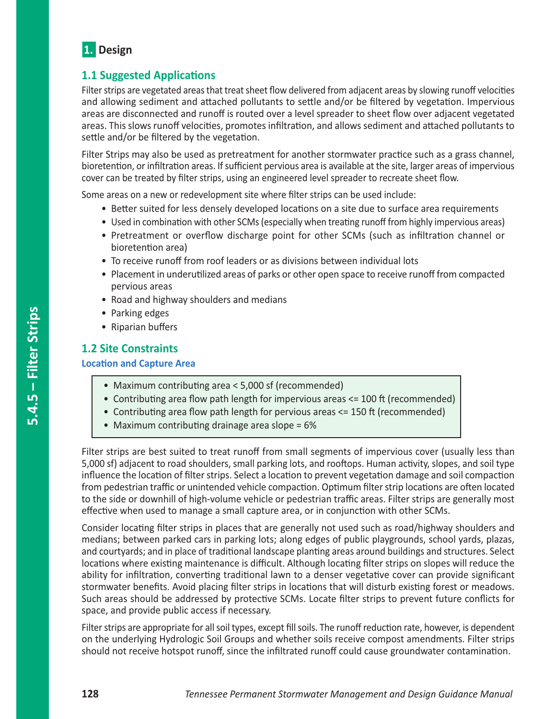

# **1.1 Suggested Applications**

Filter strips are vegetated areas that treat sheet flow delivered from adjacent areas by slowing runoff velocities and allowing sediment and attached pollutants to settle and/or be filtered by vegetation. Impervious areas are disconnected and runoff is routed over a level spreader to sheet flow over adjacent vegetated areas. This slows runoff velocities, promotes infiltration, and allows sediment and attached pollutants to settle and/or be filtered by the vegetation.

Filter Strips may also be used as pretreatment for another stormwater practice such as a grass channel, bioretention, or infiltration areas. If sufficient pervious area is available at the site, larger areas of impervious cover can be treated by filter strips, using an engineered level spreader to recreate sheet flow.

Some areas on a new or redevelopment site where filter strips can be used include:

- Better suited for less densely developed locations on a site due to surface area requirements
- Used in combination with other SCMs (especially when treating runoff from highly impervious areas)
- Pretreatment or overflow discharge point for other SCMs (such as infiltration channel or bioretention area)
- To receive runoff from roof leaders or as divisions between individual lots
- Placement in underutilized areas of parks or other open space to receive runoff from compacted pervious areas
- Road and highway shoulders and medians
- Parking edges
- Riparian buffers

# **1.2 Site Constraints Location and Capture Area**

- Maximum contributing area < 5,000 sf (recommended)
- Contributing area flow path length for impervious areas <= 100 ft (recommended)
- Contributing area flow path length for pervious areas <= 150 ft (recommended)
- Maximum contributing drainage area slope = 6%

Filter strips are best suited to treat runoff from small segments of impervious cover (usually less than 5,000 sf) adjacent to road shoulders, small parking lots, and rooftops. Human activity, slopes, and soil type influence the location of filter strips. Select a location to prevent vegetation damage and soil compaction from pedestrian traffic or unintended vehicle compaction. Optimum filter strip locations are often located to the side or downhill of high-volume vehicle or pedestrian traffic areas. Filter strips are generally most effective when used to manage a small capture area, or in conjunction with other SCMs.

Consider locating filter strips in places that are generally not used such as road/highway shoulders and medians; between parked cars in parking lots; along edges of public playgrounds, school yards, plazas, and courtyards; and in place of traditional landscape planting areas around buildings and structures. Select locations where existing maintenance is difficult. Although locating filter strips on slopes will reduce the ability for infiltration, converting traditional lawn to a denser vegetative cover can provide significant stormwater benefits. Avoid placing filter strips in locations that will disturb existing forest or meadows. Such areas should be addressed by protective SCMs. Locate filter strips to prevent future conflicts for space, and provide public access if necessary.

Filter strips are appropriate for all soil types, except fill soils. The runoff reduction rate, however, is dependent on the underlying Hydrologic Soil Groups and whether soils receive compost amendments. Filter strips should not receive hotspot runoff, since the infiltrated runoff could cause groundwater contamination.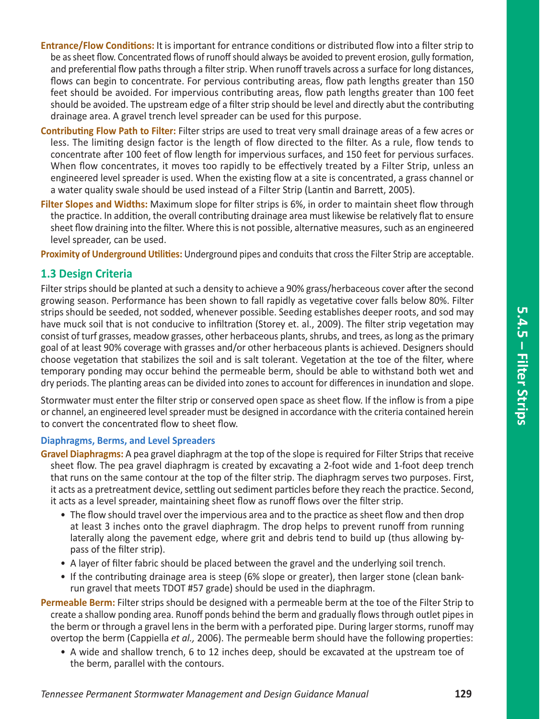- **Entrance/Flow Conditions:** It is important for entrance conditions or distributed flow into a filter strip to be as sheet flow. Concentrated flows of runoff should always be avoided to prevent erosion, gully formation, and preferential flow paths through a filter strip. When runoff travels across a surface for long distances, flows can begin to concentrate. For pervious contributing areas, flow path lengths greater than 150 feet should be avoided. For impervious contributing areas, flow path lengths greater than 100 feet should be avoided. The upstream edge of a filter strip should be level and directly abut the contributing drainage area. A gravel trench level spreader can be used for this purpose.
- **Contributing Flow Path to Filter:** Filter strips are used to treat very small drainage areas of a few acres or less. The limiting design factor is the length of flow directed to the filter. As a rule, flow tends to concentrate after 100 feet of flow length for impervious surfaces, and 150 feet for pervious surfaces. When flow concentrates, it moves too rapidly to be effectively treated by a Filter Strip, unless an engineered level spreader is used. When the existing flow at a site is concentrated, a grass channel or a water quality swale should be used instead of a Filter Strip (Lantin and Barrett, 2005).
- **Filter Slopes and Widths:** Maximum slope for filter strips is 6%, in order to maintain sheet flow through the practice. In addition, the overall contributing drainage area must likewise be relatively flat to ensure sheet flow draining into the filter. Where this is not possible, alternative measures, such as an engineered level spreader, can be used.

**Proximity of Underground Utilities:** Underground pipes and conduits that cross the Filter Strip are acceptable.

## **1.3 Design Criteria**

Filter strips should be planted at such a density to achieve a 90% grass/herbaceous cover after the second growing season. Performance has been shown to fall rapidly as vegetative cover falls below 80%. Filter strips should be seeded, not sodded, whenever possible. Seeding establishes deeper roots, and sod may have muck soil that is not conducive to infiltration (Storey et. al., 2009). The filter strip vegetation may consist of turf grasses, meadow grasses, other herbaceous plants, shrubs, and trees, as long as the primary goal of at least 90% coverage with grasses and/or other herbaceous plants is achieved. Designers should choose vegetation that stabilizes the soil and is salt tolerant. Vegetation at the toe of the filter, where temporary ponding may occur behind the permeable berm, should be able to withstand both wet and dry periods. The planting areas can be divided into zones to account for differences in inundation and slope.

Stormwater must enter the filter strip or conserved open space as sheet flow. If the inflow is from a pipe or channel, an engineered level spreader must be designed in accordance with the criteria contained herein to convert the concentrated flow to sheet flow.

#### **Diaphragms, Berms, and Level Spreaders**

**Gravel Diaphragms:** A pea gravel diaphragm at the top of the slope is required for Filter Strips that receive sheet flow. The pea gravel diaphragm is created by excavating a 2-foot wide and 1-foot deep trench that runs on the same contour at the top of the filter strip. The diaphragm serves two purposes. First, it acts as a pretreatment device, settling out sediment particles before they reach the practice. Second, it acts as a level spreader, maintaining sheet flow as runoff flows over the filter strip.

- The flow should travel over the impervious area and to the practice as sheet flow and then drop at least 3 inches onto the gravel diaphragm. The drop helps to prevent runoff from running laterally along the pavement edge, where grit and debris tend to build up (thus allowing bypass of the filter strip).
- A layer of filter fabric should be placed between the gravel and the underlying soil trench.
- If the contributing drainage area is steep (6% slope or greater), then larger stone (clean bankrun gravel that meets TDOT #57 grade) should be used in the diaphragm.

**Permeable Berm:** Filter strips should be designed with a permeable berm at the toe of the Filter Strip to create a shallow ponding area. Runoff ponds behind the berm and gradually flows through outlet pipes in the berm or through a gravel lens in the berm with a perforated pipe. During larger storms, runoff may overtop the berm (Cappiella *et al.,* 2006). The permeable berm should have the following properties:

• A wide and shallow trench, 6 to 12 inches deep, should be excavated at the upstream toe of the berm, parallel with the contours.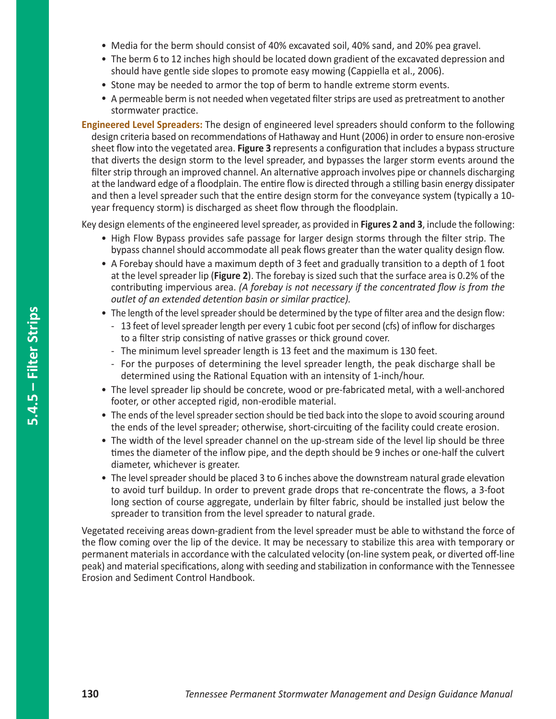- Media for the berm should consist of 40% excavated soil, 40% sand, and 20% pea gravel.
- The berm 6 to 12 inches high should be located down gradient of the excavated depression and should have gentle side slopes to promote easy mowing (Cappiella et al., 2006).
- Stone may be needed to armor the top of berm to handle extreme storm events.
- A permeable berm is not needed when vegetated filter strips are used as pretreatment to another stormwater practice.

**Engineered Level Spreaders:** The design of engineered level spreaders should conform to the following design criteria based on recommendations of Hathaway and Hunt (2006) in order to ensure non-erosive sheet flow into the vegetated area. **Figure 3** represents a configuration that includes a bypass structure that diverts the design storm to the level spreader, and bypasses the larger storm events around the filter strip through an improved channel. An alternative approach involves pipe or channels discharging at the landward edge of a floodplain. The entire flow is directed through a stilling basin energy dissipater and then a level spreader such that the entire design storm for the conveyance system (typically a 10 year frequency storm) is discharged as sheet flow through the floodplain.

Key design elements of the engineered level spreader, as provided in **Figures 2 and 3**, include the following:

- High Flow Bypass provides safe passage for larger design storms through the filter strip. The bypass channel should accommodate all peak flows greater than the water quality design flow.
- A Forebay should have a maximum depth of 3 feet and gradually transition to a depth of 1 foot at the level spreader lip (**Figure 2**). The forebay is sized such that the surface area is 0.2% of the contributing impervious area. *(A forebay is not necessary if the concentrated flow is from the outlet of an extended detention basin or similar practice).*
- The length of the level spreader should be determined by the type of filter area and the design flow:
	- 13 feet of level spreader length per every 1 cubic foot per second (cfs) of inflow for discharges to a filter strip consisting of native grasses or thick ground cover.
	- The minimum level spreader length is 13 feet and the maximum is 130 feet.
	- For the purposes of determining the level spreader length, the peak discharge shall be determined using the Rational Equation with an intensity of 1-inch/hour.
- The level spreader lip should be concrete, wood or pre-fabricated metal, with a well-anchored footer, or other accepted rigid, non-erodible material.
- The ends of the level spreader section should be tied back into the slope to avoid scouring around the ends of the level spreader; otherwise, short-circuiting of the facility could create erosion.
- The width of the level spreader channel on the up-stream side of the level lip should be three times the diameter of the inflow pipe, and the depth should be 9 inches or one-half the culvert diameter, whichever is greater.
- The level spreader should be placed 3 to 6 inches above the downstream natural grade elevation to avoid turf buildup. In order to prevent grade drops that re-concentrate the flows, a 3-foot long section of course aggregate, underlain by filter fabric, should be installed just below the spreader to transition from the level spreader to natural grade.

Vegetated receiving areas down-gradient from the level spreader must be able to withstand the force of the flow coming over the lip of the device. It may be necessary to stabilize this area with temporary or permanent materials in accordance with the calculated velocity (on-line system peak, or diverted off-line peak) and material specifications, along with seeding and stabilization in conformance with the Tennessee Erosion and Sediment Control Handbook.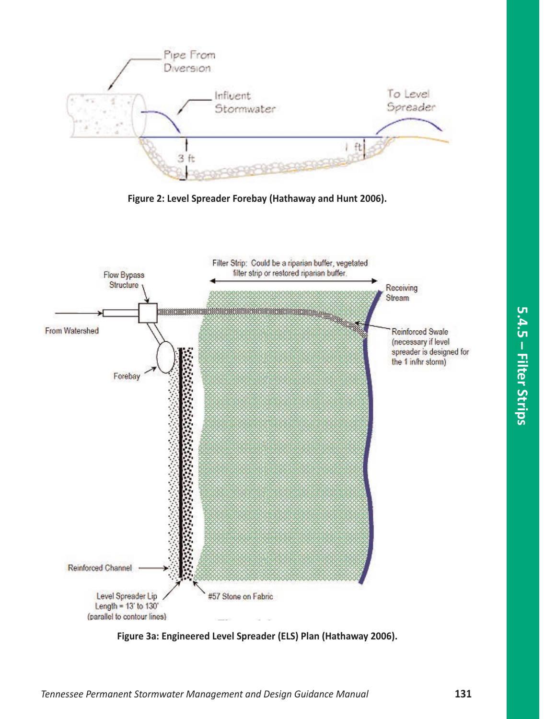

**5.4.5 –** 

**Figure 3a: Engineered Level Spreader (ELS) Plan (Hathaway 2006).**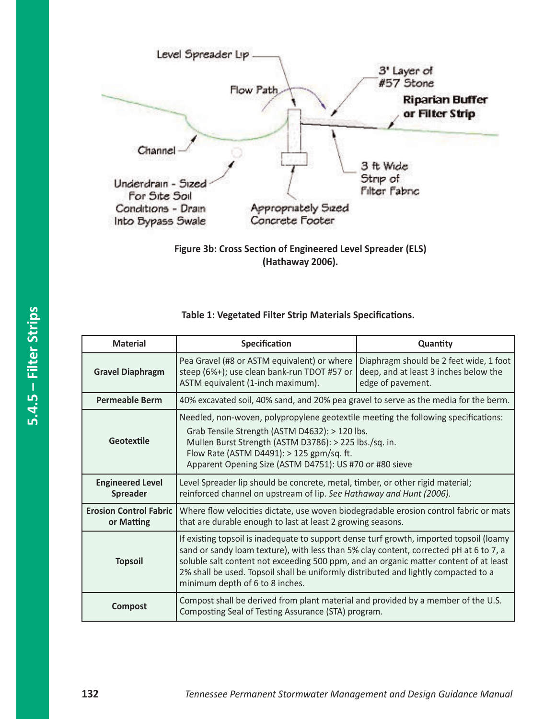

**Figure 3b: Cross Section of Engineered Level Spreader (ELS) (Hathaway 2006).**

### **Table 1: Vegetated Filter Strip Materials Specifications.**

| <b>Material</b>                             | Specification                                                                                                                                                                                                                                                                                                                                                                                        | Quantity                                                                                              |  |
|---------------------------------------------|------------------------------------------------------------------------------------------------------------------------------------------------------------------------------------------------------------------------------------------------------------------------------------------------------------------------------------------------------------------------------------------------------|-------------------------------------------------------------------------------------------------------|--|
| <b>Gravel Diaphragm</b>                     | Pea Gravel (#8 or ASTM equivalent) or where<br>steep (6%+); use clean bank-run TDOT #57 or<br>ASTM equivalent (1-inch maximum).                                                                                                                                                                                                                                                                      | Diaphragm should be 2 feet wide, 1 foot<br>deep, and at least 3 inches below the<br>edge of pavement. |  |
| <b>Permeable Berm</b>                       | 40% excavated soil, 40% sand, and 20% pea gravel to serve as the media for the berm.                                                                                                                                                                                                                                                                                                                 |                                                                                                       |  |
| Geotextile                                  | Needled, non-woven, polypropylene geotextile meeting the following specifications:<br>Grab Tensile Strength (ASTM D4632): > 120 lbs.<br>Mullen Burst Strength (ASTM D3786): > 225 lbs./sq. in.<br>Flow Rate (ASTM D4491): > 125 gpm/sq. ft.<br>Apparent Opening Size (ASTM D4751): US #70 or #80 sieve                                                                                               |                                                                                                       |  |
| <b>Engineered Level</b><br><b>Spreader</b>  | Level Spreader lip should be concrete, metal, timber, or other rigid material;<br>reinforced channel on upstream of lip. See Hathaway and Hunt (2006).                                                                                                                                                                                                                                               |                                                                                                       |  |
| <b>Erosion Control Fabric</b><br>or Matting | Where flow velocities dictate, use woven biodegradable erosion control fabric or mats<br>that are durable enough to last at least 2 growing seasons.                                                                                                                                                                                                                                                 |                                                                                                       |  |
| <b>Topsoil</b>                              | If existing topsoil is inadequate to support dense turf growth, imported topsoil (loamy<br>sand or sandy loam texture), with less than 5% clay content, corrected pH at 6 to 7, a<br>soluble salt content not exceeding 500 ppm, and an organic matter content of at least<br>2% shall be used. Topsoil shall be uniformly distributed and lightly compacted to a<br>minimum depth of 6 to 8 inches. |                                                                                                       |  |
| <b>Compost</b>                              | Compost shall be derived from plant material and provided by a member of the U.S.<br>Composting Seal of Testing Assurance (STA) program.                                                                                                                                                                                                                                                             |                                                                                                       |  |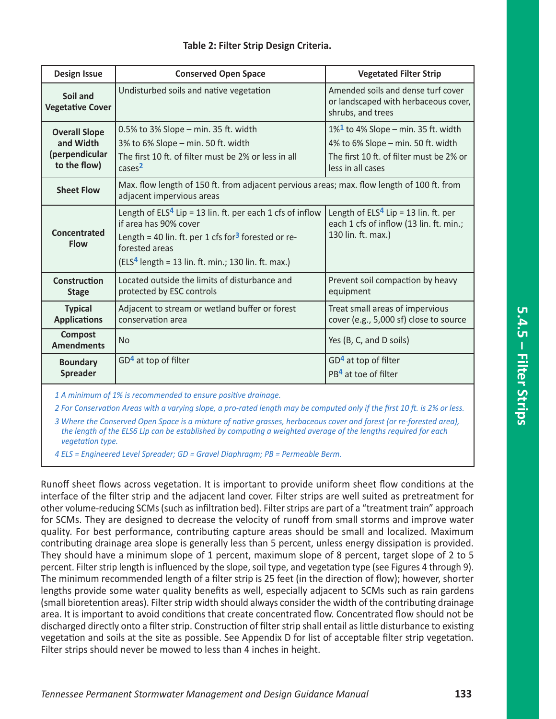| <b>Design Issue</b>                                                 | <b>Conserved Open Space</b>                                                                                                                                                                                                                  | <b>Vegetated Filter Strip</b>                                                                                                                             |  |
|---------------------------------------------------------------------|----------------------------------------------------------------------------------------------------------------------------------------------------------------------------------------------------------------------------------------------|-----------------------------------------------------------------------------------------------------------------------------------------------------------|--|
| Soil and<br><b>Vegetative Cover</b>                                 | Undisturbed soils and native vegetation                                                                                                                                                                                                      | Amended soils and dense turf cover<br>or landscaped with herbaceous cover,<br>shrubs, and trees                                                           |  |
| <b>Overall Slope</b><br>and Width<br>(perpendicular<br>to the flow) | $0.5\%$ to 3% Slope – min. 35 ft. width<br>3% to 6% Slope - min. 50 ft. width<br>The first 10 ft. of filter must be 2% or less in all<br>cases <sup>2</sup>                                                                                  | $1\%$ <sup>1</sup> to 4% Slope – min. 35 ft. width<br>4% to 6% Slope - min. 50 ft. width<br>The first 10 ft. of filter must be 2% or<br>less in all cases |  |
| <b>Sheet Flow</b>                                                   | Max. flow length of 150 ft. from adjacent pervious areas; max. flow length of 100 ft. from<br>adjacent impervious areas                                                                                                                      |                                                                                                                                                           |  |
| Concentrated<br><b>Flow</b>                                         | Length of $ELS4$ Lip = 13 lin. ft. per each 1 cfs of inflow<br>if area has 90% cover<br>Length = 40 lin. ft. per 1 cfs for <sup>3</sup> forested or re-<br>forested areas<br>(ELS <sup>4</sup> length = 13 lin. ft. min.; 130 lin. ft. max.) | Length of $ELS4$ Lip = 13 lin. ft. per<br>each 1 cfs of inflow (13 lin. ft. min.;<br>130 lin. ft. max.)                                                   |  |
| <b>Construction</b><br><b>Stage</b>                                 | Located outside the limits of disturbance and<br>protected by ESC controls                                                                                                                                                                   | Prevent soil compaction by heavy<br>equipment                                                                                                             |  |
| <b>Typical</b><br><b>Applications</b>                               | Adjacent to stream or wetland buffer or forest<br>conservation area                                                                                                                                                                          | Treat small areas of impervious<br>cover (e.g., 5,000 sf) close to source                                                                                 |  |
| <b>Compost</b><br><b>Amendments</b>                                 | <b>No</b>                                                                                                                                                                                                                                    | Yes (B, C, and D soils)                                                                                                                                   |  |
| <b>Boundary</b><br><b>Spreader</b>                                  | $GD4$ at top of filter                                                                                                                                                                                                                       | GD <sup>4</sup> at top of filter<br>PB <sup>4</sup> at toe of filter                                                                                      |  |

*1 A minimum of 1% is recommended to ensure positive drainage.*

*2 For Conservation Areas with a varying slope, a pro-rated length may be computed only if the first 10 ft. is 2% or less.*

*3 Where the Conserved Open Space is a mixture of native grasses, herbaceous cover and forest (or re-forested area), the length of the ELS6 Lip can be established by computing a weighted average of the lengths required for each vegetation type.*

*4 ELS = Engineered Level Spreader; GD = Gravel Diaphragm; PB = Permeable Berm.*

Runoff sheet flows across vegetation. It is important to provide uniform sheet flow conditions at the interface of the filter strip and the adjacent land cover. Filter strips are well suited as pretreatment for other volume-reducing SCMs (such as infiltration bed). Filter strips are part of a "treatment train" approach for SCMs. They are designed to decrease the velocity of runoff from small storms and improve water quality. For best performance, contributing capture areas should be small and localized. Maximum contributing drainage area slope is generally less than 5 percent, unless energy dissipation is provided. They should have a minimum slope of 1 percent, maximum slope of 8 percent, target slope of 2 to 5 percent. Filter strip length is influenced by the slope, soil type, and vegetation type (see Figures 4 through 9). The minimum recommended length of a filter strip is 25 feet (in the direction of flow); however, shorter lengths provide some water quality benefits as well, especially adjacent to SCMs such as rain gardens (small bioretention areas). Filter strip width should always consider the width of the contributing drainage area. It is important to avoid conditions that create concentrated flow. Concentrated flow should not be discharged directly onto a filter strip. Construction of filter strip shall entail as little disturbance to existing vegetation and soils at the site as possible. See Appendix D for list of acceptable filter strip vegetation. Filter strips should never be mowed to less than 4 inches in height.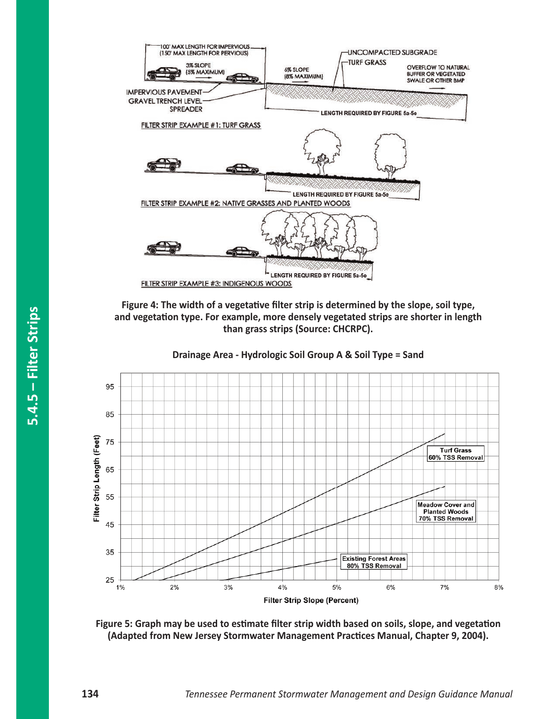

**Figure 4: The width of a vegetative filter strip is determined by the slope, soil type, and vegetation type. For example, more densely vegetated strips are shorter in length than grass strips (Source: CHCRPC).**

**Drainage Area - Hydrologic Soil Group A & Soil Type = Sand**



**Figure 5: Graph may be used to estimate filter strip width based on soils, slope, and vegetation (Adapted from New Jersey Stormwater Management Practices Manual, Chapter 9, 2004).**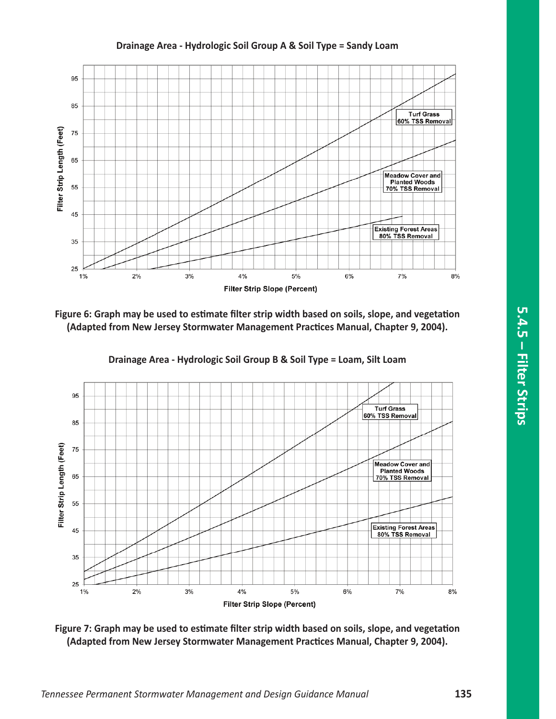

**Drainage Area - Hydrologic Soil Group A & Soil Type = Sandy Loam**





**Drainage Area - Hydrologic Soil Group B & Soil Type = Loam, Silt Loam**

**Figure 7: Graph may be used to estimate filter strip width based on soils, slope, and vegetation (Adapted from New Jersey Stormwater Management Practices Manual, Chapter 9, 2004).**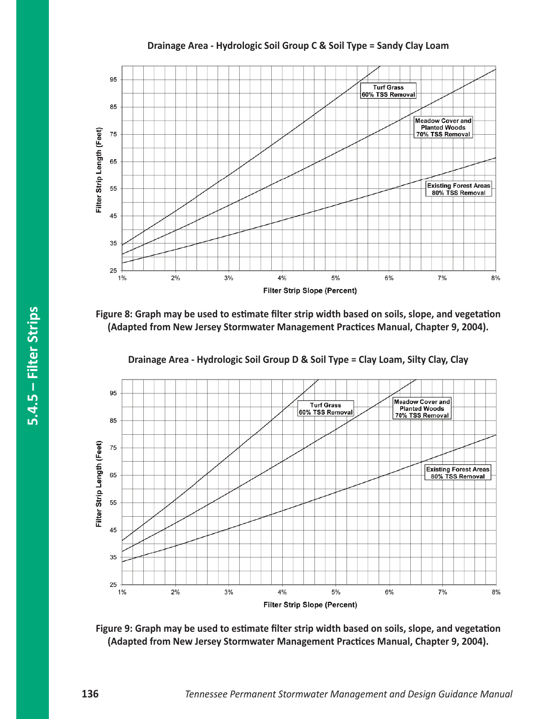



**Figure 8: Graph may be used to estimate filter strip width based on soils, slope, and vegetation (Adapted from New Jersey Stormwater Management Practices Manual, Chapter 9, 2004).** 



**Drainage Area - Hydrologic Soil Group D & Soil Type = Clay Loam, Silty Clay, Clay**

**Figure 9: Graph may be used to estimate filter strip width based on soils, slope, and vegetation (Adapted from New Jersey Stormwater Management Practices Manual, Chapter 9, 2004).**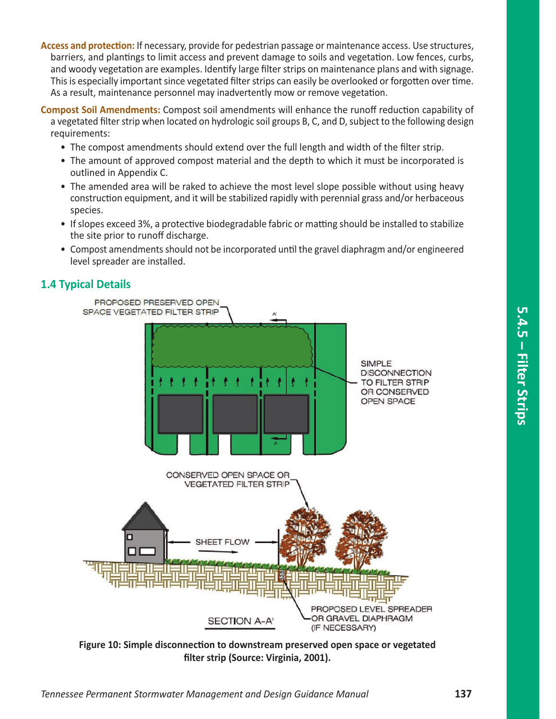- **Access and protection:** If necessary, provide for pedestrian passage or maintenance access. Use structures, barriers, and plantings to limit access and prevent damage to soils and vegetation. Low fences, curbs, and woody vegetation are examples. Identify large filter strips on maintenance plans and with signage. This is especially important since vegetated filter strips can easily be overlooked or forgotten over time. As a result, maintenance personnel may inadvertently mow or remove vegetation.
- **Compost Soil Amendments:** Compost soil amendments will enhance the runoff reduction capability of a vegetated filter strip when located on hydrologic soil groups B, C, and D, subject to the following design requirements:
	- The compost amendments should extend over the full length and width of the filter strip.
	- The amount of approved compost material and the depth to which it must be incorporated is outlined in Appendix C.
	- The amended area will be raked to achieve the most level slope possible without using heavy construction equipment, and it will be stabilized rapidly with perennial grass and/or herbaceous species.
	- If slopes exceed 3%, a protective biodegradable fabric or matting should be installed to stabilize the site prior to runoff discharge.
	- Compost amendments should not be incorporated until the gravel diaphragm and/or engineered level spreader are installed.

**1.4 Typical Details**

- PROPOSED PRESERVED OPEN SPACE VEGETATED FILTER STRIP **SIMPLE DISCONNECTION** TO FILTER STRIP OR CONSERVED **OPEN SPACE** CONSERVED OPEN SPACE OR **VEGETATED FILTER STRIP** SHEET FLOW PROPOSED LEVEL SPREADER OR GRAVEL DIAPHRAGM **SECTION A-A'** (IF NECESSARY)
	- **Figure 10: Simple disconnection to downstream preserved open space or vegetated filter strip (Source: Virginia, 2001).**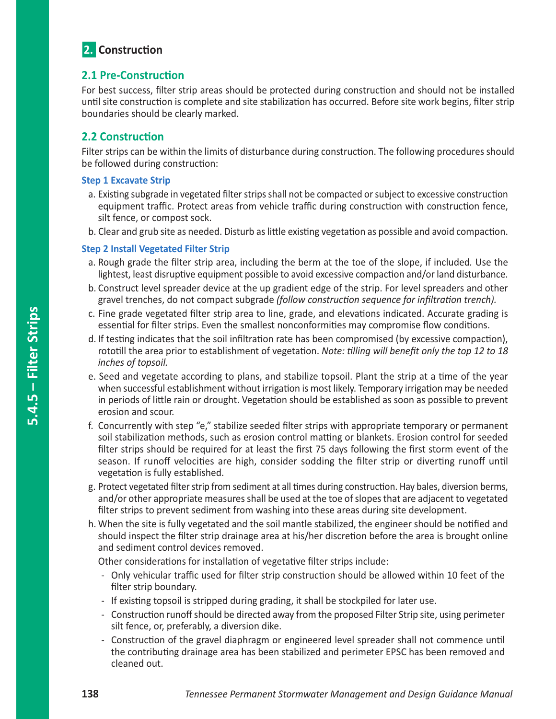

# **2.1 Pre-Construction**

For best success, filter strip areas should be protected during construction and should not be installed until site construction is complete and site stabilization has occurred. Before site work begins, filter strip boundaries should be clearly marked.

# **2.2 Construction**

Filter strips can be within the limits of disturbance during construction. The following procedures should be followed during construction:

### **Step 1 Excavate Strip**

- a. Existing subgrade in vegetated filter strips shall not be compacted or subject to excessive construction equipment traffic. Protect areas from vehicle traffic during construction with construction fence, silt fence, or compost sock.
- b. Clear and grub site as needed. Disturb as little existing vegetation as possible and avoid compaction.

### **Step 2 Install Vegetated Filter Strip**

- a. Rough grade the filter strip area, including the berm at the toe of the slope, if included*.* Use the lightest, least disruptive equipment possible to avoid excessive compaction and/or land disturbance.
- b. Construct level spreader device at the up gradient edge of the strip. For level spreaders and other gravel trenches, do not compact subgrade *(follow construction sequence for infiltration trench).*
- c. Fine grade vegetated filter strip area to line, grade, and elevations indicated. Accurate grading is essential for filter strips. Even the smallest nonconformities may compromise flow conditions.
- d. If testing indicates that the soil infiltration rate has been compromised (by excessive compaction), rototill the area prior to establishment of vegetation. *Note: tilling will benefit only the top 12 to 18 inches of topsoil.*
- e. Seed and vegetate according to plans, and stabilize topsoil. Plant the strip at a time of the year when successful establishment without irrigation is most likely. Temporary irrigation may be needed in periods of little rain or drought. Vegetation should be established as soon as possible to prevent erosion and scour.
- f. Concurrently with step "e," stabilize seeded filter strips with appropriate temporary or permanent soil stabilization methods, such as erosion control matting or blankets. Erosion control for seeded filter strips should be required for at least the first 75 days following the first storm event of the season. If runoff velocities are high, consider sodding the filter strip or diverting runoff until vegetation is fully established.
- g. Protect vegetated filter strip from sediment at all times during construction. Hay bales, diversion berms, and/or other appropriate measures shall be used at the toe of slopes that are adjacent to vegetated filter strips to prevent sediment from washing into these areas during site development.
- h. When the site is fully vegetated and the soil mantle stabilized, the engineer should be notified and should inspect the filter strip drainage area at his/her discretion before the area is brought online and sediment control devices removed.

Other considerations for installation of vegetative filter strips include:

- Only vehicular traffic used for filter strip construction should be allowed within 10 feet of the filter strip boundary.
- If existing topsoil is stripped during grading, it shall be stockpiled for later use.
- Construction runoff should be directed away from the proposed Filter Strip site, using perimeter silt fence, or, preferably, a diversion dike.
- Construction of the gravel diaphragm or engineered level spreader shall not commence until the contributing drainage area has been stabilized and perimeter EPSC has been removed and cleaned out.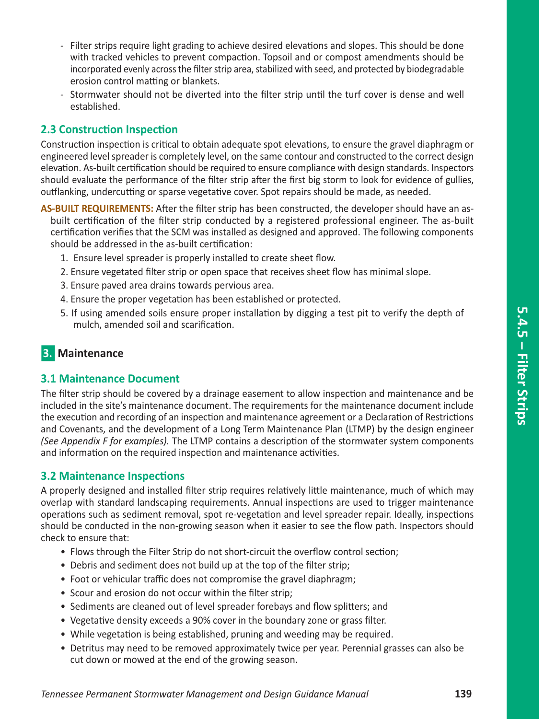- Filter strips require light grading to achieve desired elevations and slopes. This should be done with tracked vehicles to prevent compaction. Topsoil and or compost amendments should be incorporated evenly across the filter strip area, stabilized with seed, and protected by biodegradable erosion control matting or blankets.
- Stormwater should not be diverted into the filter strip until the turf cover is dense and well established.

# **2.3 Construction Inspection**

Construction inspection is critical to obtain adequate spot elevations, to ensure the gravel diaphragm or engineered level spreader is completely level, on the same contour and constructed to the correct design elevation. As-built certification should be required to ensure compliance with design standards. Inspectors should evaluate the performance of the filter strip after the first big storm to look for evidence of gullies, outflanking, undercutting or sparse vegetative cover. Spot repairs should be made, as needed.

**AS-BUILT REQUIREMENTS:** After the filter strip has been constructed, the developer should have an asbuilt certification of the filter strip conducted by a registered professional engineer. The as-built certification verifies that the SCM was installed as designed and approved. The following components should be addressed in the as-built certification:

- 1. Ensure level spreader is properly installed to create sheet flow.
- 2. Ensure vegetated filter strip or open space that receives sheet flow has minimal slope.
- 3. Ensure paved area drains towards pervious area.
- 4. Ensure the proper vegetation has been established or protected.
- 5. If using amended soils ensure proper installation by digging a test pit to verify the depth of mulch, amended soil and scarification.

# **3. Maintenance**

### **3.1 Maintenance Document**

The filter strip should be covered by a drainage easement to allow inspection and maintenance and be included in the site's maintenance document. The requirements for the maintenance document include the execution and recording of an inspection and maintenance agreement or a Declaration of Restrictions and Covenants, and the development of a Long Term Maintenance Plan (LTMP) by the design engineer *(See Appendix F for examples).* The LTMP contains a description of the stormwater system components and information on the required inspection and maintenance activities.

# **3.2 Maintenance Inspections**

A properly designed and installed filter strip requires relatively little maintenance, much of which may overlap with standard landscaping requirements. Annual inspections are used to trigger maintenance operations such as sediment removal, spot re-vegetation and level spreader repair. Ideally, inspections should be conducted in the non-growing season when it easier to see the flow path. Inspectors should check to ensure that:

- Flows through the Filter Strip do not short-circuit the overflow control section;
- Debris and sediment does not build up at the top of the filter strip;
- Foot or vehicular traffic does not compromise the gravel diaphragm;
- Scour and erosion do not occur within the filter strip;
- Sediments are cleaned out of level spreader forebays and flow splitters; and
- Vegetative density exceeds a 90% cover in the boundary zone or grass filter.
- While vegetation is being established, pruning and weeding may be required.
- Detritus may need to be removed approximately twice per year. Perennial grasses can also be cut down or mowed at the end of the growing season.